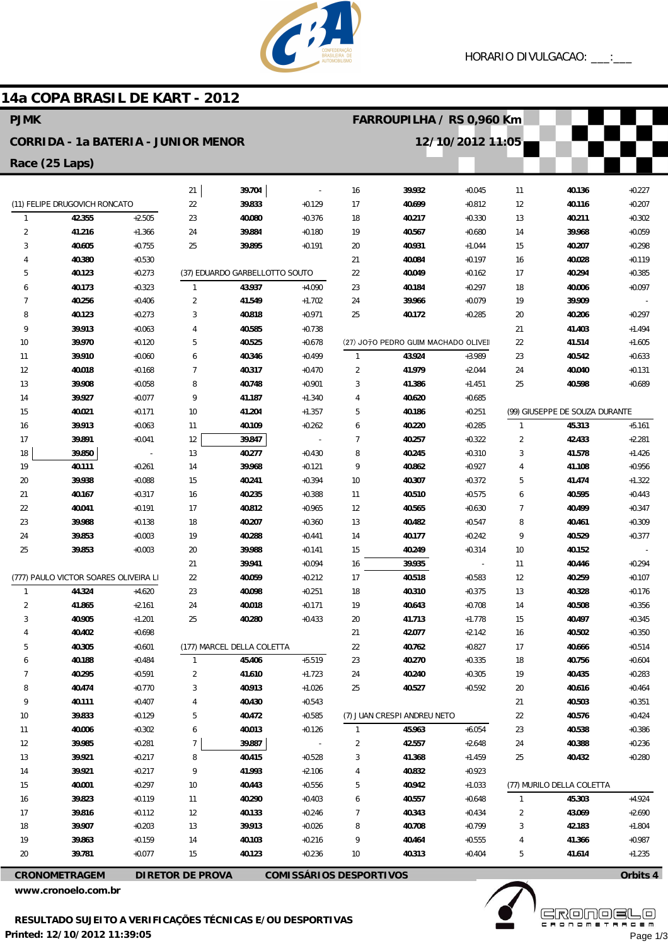

## **14a COPA BRASIL DE KART - 2012**

| <b>PJMK</b>                                                                       |                                       |          |                |                                |                      |                | FARROUPILHA / RS 0,960 Km           |                          |                     |                                |                      |
|-----------------------------------------------------------------------------------|---------------------------------------|----------|----------------|--------------------------------|----------------------|----------------|-------------------------------------|--------------------------|---------------------|--------------------------------|----------------------|
| <b>CORRIDA - 1a BATERIA - JUNIOR MENOR</b>                                        |                                       |          |                |                                |                      |                |                                     | 12/10/2012 11:05         |                     |                                |                      |
| Race (25 Laps)                                                                    |                                       |          |                |                                |                      |                |                                     |                          |                     |                                |                      |
|                                                                                   |                                       |          | 21             | 39.704                         |                      | 16             | 39.932                              | $+0.045$                 | 11                  | 40.136                         | $+0.227$             |
|                                                                                   | (11) FELIPE DRUGOVICH RONCATO         |          | 22             | 39.833                         | $+0.129$             | 17             | 40.699                              | $+0.812$                 | 12                  | 40.116                         | $+0.207$             |
| $\mathbf{1}$                                                                      | 42.355                                | $+2.505$ | 23             | 40.080                         | $+0.376$             | 18             | 40.217                              | $+0.330$                 | 13                  | 40.211                         | $+0.302$             |
| $\overline{2}$                                                                    | 41.216                                | $+1.366$ | 24             | 39.884                         | $+0.180$             | 19             | 40.567                              | $+0.680$                 | 14                  | 39.968                         | $+0.059$             |
| 3                                                                                 | 40.605                                | $+0.755$ | 25             | 39.895                         | $+0.191$             | 20             | 40.931                              | $+1.044$                 | 15                  | 40.207                         | $+0.298$             |
| 4                                                                                 | 40.380                                | $+0.530$ |                |                                |                      | 21             | 40.084                              | $+0.197$                 | 16                  | 40.028                         | $+0.119$             |
| 5                                                                                 | 40.123                                | $+0.273$ |                | (37) EDUARDO GARBELLOTTO SOUTO |                      | 22             | 40.049                              | $+0.162$                 | 17                  | 40.294                         | $+0.385$             |
| 6                                                                                 | 40.173                                | $+0.323$ | $\mathbf{1}$   | 43.937                         | $+4.090$             | 23             | 40.184                              | $+0.297$                 | 18                  | 40.006                         | $+0.097$             |
| 7                                                                                 | 40.256                                | $+0.406$ | $\overline{2}$ | 41.549                         | $+1.702$             | 24             | 39.966                              | $+0.079$                 | 19                  | 39.909                         |                      |
| 8                                                                                 | 40.123                                | $+0.273$ | 3              | 40.818                         | $+0.971$             | 25             | 40.172                              | $+0.285$                 | 20                  | 40.206                         | $+0.297$             |
| 9                                                                                 | 39.913                                | $+0.063$ | $\overline{4}$ | 40.585                         | $+0.738$             |                |                                     |                          | 21                  | 41.403                         | $+1.494$             |
| 10                                                                                | 39.970                                | $+0.120$ | 5              | 40.525                         | $+0.678$             |                | (27) JO7O PEDRO GUIM MACHADO OLIVEI |                          | 22                  | 41.514                         | $+1.605$             |
| 11                                                                                | 39.910                                | $+0.060$ | 6              | 40.346                         | $+0.499$             | $\mathbf{1}$   | 43.924                              | $+3.989$                 | 23                  | 40.542                         | $+0.633$             |
| 12                                                                                | 40.018                                | $+0.168$ | $\overline{7}$ | 40.317                         | $+0.470$             | $\overline{2}$ | 41.979                              | $+2.044$                 | 24                  | 40.040                         | $+0.131$             |
| 13                                                                                | 39.908                                | $+0.058$ | 8              | 40.748                         | $+0.901$             | 3              | 41.386                              | $+1.451$                 | 25                  | 40.598                         | $+0.689$             |
| 14                                                                                | 39.927                                | $+0.077$ | 9              | 41.187                         | $+1.340$             | 4              | 40.620                              | $+0.685$                 |                     |                                |                      |
| 15                                                                                | 40.021                                | $+0.171$ | 10             | 41.204                         | $+1.357$             | 5              | 40.186                              | $+0.251$                 |                     | (99) GIUSEPPE DE SOUZA DURANTE |                      |
| 16                                                                                | 39.913                                | $+0.063$ | 11             | 40.109                         | $+0.262$             | 6              | 40.220                              | $+0.285$                 | $\mathbf{1}$        | 45.313                         | $+5.161$             |
| 17                                                                                | 39.891                                | $+0.041$ | 12             | 39.847                         |                      | $\overline{7}$ | 40.257                              | $+0.322$                 | $\overline{2}$<br>3 | 42.433                         | $+2.281$             |
| 18<br>19                                                                          | 39.850<br>40.111                      | $+0.261$ | 13<br>14       | 40.277<br>39.968               | $+0.430$<br>$+0.121$ | 8<br>9         | 40.245<br>40.862                    | $+0.310$<br>$+0.927$     | 4                   | 41.578<br>41.108               | $+1.426$<br>$+0.956$ |
| 20                                                                                | 39.938                                | $+0.088$ | 15             | 40.241                         | $+0.394$             | 10             | 40.307                              | $+0.372$                 | 5                   | 41.474                         | $+1.322$             |
| 21                                                                                | 40.167                                | $+0.317$ | 16             | 40.235                         | $+0.388$             | 11             | 40.510                              | $+0.575$                 | 6                   | 40.595                         | $+0.443$             |
| 22                                                                                | 40.041                                | $+0.191$ | 17             | 40.812                         | $+0.965$             | 12             | 40.565                              | $+0.630$                 | 7                   | 40.499                         | $+0.347$             |
| 23                                                                                | 39.988                                | $+0.138$ | 18             | 40.207                         | $+0.360$             | 13             | 40.482                              | $+0.547$                 | 8                   | 40.461                         | $+0.309$             |
| 24                                                                                | 39.853                                | $+0.003$ | 19             | 40.288                         | $+0.441$             | 14             | 40.177                              | $+0.242$                 | 9                   | 40.529                         | $+0.377$             |
| 25                                                                                | 39.853                                | $+0.003$ | 20             | 39.988                         | $+0.141$             | 15             | 40.249                              | $+0.314$                 | 10                  | 40.152                         |                      |
|                                                                                   |                                       |          | 21             | 39.941                         | $+0.094$             | 16             | 39.935                              | $\overline{\phantom{a}}$ | 11                  | 40.446                         | $+0.294$             |
|                                                                                   | (777) PAULO VICTOR SOARES OLIVEIRA LI |          | 22             | 40.059                         | $+0.212$             | 17             | 40.518                              | $+0.583$                 | 12                  | 40.259                         | $+0.107$             |
| $\mathbf{1}$                                                                      | 44.324                                | $+4.620$ | 23             | 40.098                         | $+0.251$             | 18             | 40.310                              | $+0.375$                 | 13                  | 40.328                         | $+0.176$             |
| $\overline{2}$                                                                    | 41.865                                | $+2.161$ | 24             | 40.018                         | $+0.171$             | 19             | 40.643                              | $+0.708$                 | 14                  | 40.508                         | $+0.356$             |
| 3                                                                                 | 40.905                                | $+1.201$ | 25             | 40.280                         | $+0.433$             | 20             | 41.713                              | $+1.778$                 | 15                  | 40.497                         | $+0.345$             |
|                                                                                   | 40.402                                | $+0.698$ |                |                                |                      | 21             | 42.077                              | $+2.142$                 | 16                  | 40.502                         | $+0.350$             |
| 5                                                                                 | 40.305                                | $+0.601$ |                | (177) MARCEL DELLA COLETTA     |                      | 22             | 40.762                              | $+0.827$                 | 17                  | 40.666                         | $+0.514$             |
| 6                                                                                 | 40.188                                | $+0.484$ | $\mathbf{1}$   | 45.406                         | $+5.519$             | 23             | 40.270                              | $+0.335$                 | 18                  | 40.756                         | $+0.604$             |
| 7                                                                                 | 40.295                                | $+0.591$ | $\overline{2}$ | 41.610                         | $+1.723$             | 24             | 40.240                              | $+0.305$                 | 19                  | 40.435                         | $+0.283$             |
| 8                                                                                 | 40.474                                | $+0.770$ | 3              | 40.913                         | $+1.026$             | 25             | 40.527                              | $+0.592$                 | 20                  | 40.616                         | $+0.464$             |
| 9                                                                                 | 40.111                                | $+0.407$ | 4              | 40.430                         | $+0.543$             |                |                                     |                          | 21                  | 40.503                         | $+0.351$             |
| 10                                                                                | 39.833                                | $+0.129$ | 5              | 40.472                         | $+0.585$             |                | (7) JUAN CRESPI ANDREU NETO         |                          | 22                  | 40.576                         | $+0.424$             |
| 11                                                                                | 40.006                                | $+0.302$ | 6              | 40.013                         | $+0.126$             | $\mathbf{1}$   | 45.963                              | $+6.054$                 | 23                  | 40.538                         | $+0.386$             |
| 12                                                                                | 39.985                                | $+0.281$ | 7              | 39.887                         |                      | 2              | 42.557                              | $+2.648$                 | 24                  | 40.388                         | $+0.236$             |
| 13                                                                                | 39.921                                | $+0.217$ | 8              | 40.415                         | $+0.528$             | 3              | 41.368                              | $+1.459$                 | 25                  | 40.432                         | $+0.280$             |
| 14                                                                                | 39.921                                | $+0.217$ | 9              | 41.993                         | $+2.106$             | 4              | 40.832                              | $+0.923$                 |                     |                                |                      |
| 15                                                                                | 40.001                                | $+0.297$ | $10$           | 40.443                         | $+0.556$             | 5              | 40.942                              | $+1.033$                 |                     | (77) MURILO DELLA COLETTA      |                      |
| 16                                                                                | 39.823                                | $+0.119$ | 11             | 40.290                         | $+0.403$             | 6              | 40.557                              | $+0.648$                 | $\mathbf{1}$        | 45.303                         | $+4.924$             |
| 17                                                                                | 39.816                                | $+0.112$ | 12             | 40.133                         | $+0.246$             | 7              | 40.343                              | $+0.434$                 | 2                   | 43.069                         | $+2.690$             |
| 18                                                                                | 39.907                                | $+0.203$ | 13             | 39.913                         | $+0.026$             | 8              | 40.708                              | $+0.799$                 | 3                   | 42.183                         | $+1.804$             |
| 19                                                                                | 39.863                                | $+0.159$ | 14             | 40.103                         | $+0.216$             | 9              | 40.464                              | $+0.555$                 |                     | 41.366                         | $+0.987$             |
| 20                                                                                | 39.781                                | $+0.077$ | 15             | 40.123                         | $+0.236$             | 10             | 40.313                              | $+0.404$                 | 5                   | 41.614                         | $+1.235$             |
| <b>DIRETOR DE PROVA</b><br><b>COMISSÁRIOS DESPORTIVOS</b><br><b>CRONOMETRAGEM</b> |                                       |          |                |                                |                      |                |                                     |                          |                     |                                | Orbits 4             |

**www.cronoelo.com.br**

**www.mylaps.com Licensed to: Cronoelo**

Page 1/3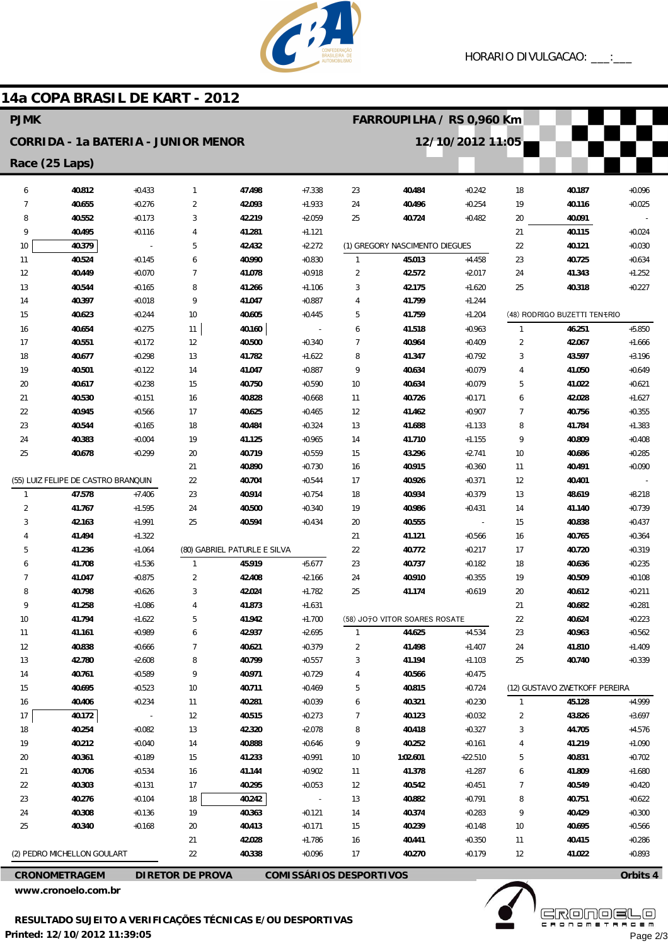

## **14a COPA BRASIL DE KART - 2012**

| <b>PJMK</b>    |                                            |                      |                         |                              |                                |                | FARROUPILHA / RS 0,960 Km      |                          |                     |                               |                      |
|----------------|--------------------------------------------|----------------------|-------------------------|------------------------------|--------------------------------|----------------|--------------------------------|--------------------------|---------------------|-------------------------------|----------------------|
|                | <b>CORRIDA - 1a BATERIA - JUNIOR MENOR</b> |                      |                         |                              |                                |                | 12/10/2012 11:05               |                          |                     |                               |                      |
| Race (25 Laps) |                                            |                      |                         |                              |                                |                |                                |                          |                     |                               |                      |
| 6              | 40.812                                     | $+0.433$             | $\mathbf{1}$            | 47.498                       | $+7.338$                       | 23             | 40.484                         | $+0.242$                 | 18                  | 40.187                        | $+0.096$             |
| 7              | 40.655                                     | $+0.276$             | $\overline{2}$          | 42.093                       | $+1.933$                       | 24             | 40.496                         | $+0.254$                 | 19                  | 40.116                        | $+0.025$             |
| 8              | 40.552                                     | $+0.173$             | 3                       | 42.219                       | $+2.059$                       | 25             | 40.724                         | $+0.482$                 | 20                  | 40.091                        |                      |
| 9              | 40.495                                     | $+0.116$             | $\overline{4}$          | 41.281                       | $+1.121$                       |                |                                |                          | 21                  | 40.115                        | $+0.024$             |
| 10             | 40.379                                     |                      | 5                       | 42.432                       | $+2.272$                       |                | (1) GREGORY NASCIMENTO DIEGUES |                          | 22                  | 40.121                        | $+0.030$             |
| 11             | 40.524                                     | $+0.145$             | 6                       | 40.990                       | $+0.830$                       | $\mathbf{1}$   | 45.013                         | $+4.458$                 | 23                  | 40.725                        | $+0.634$             |
| 12             | 40.449                                     | $+0.070$             | $\overline{7}$          | 41.078                       | $+0.918$                       | $\overline{a}$ | 42.572                         | $+2.017$                 | 24                  | 41.343                        | $+1.252$             |
| 13             | 40.544                                     | $+0.165$             | 8                       | 41.266                       | $+1.106$                       | 3              | 42.175                         | $+1.620$                 | 25                  | 40.318                        | $+0.227$             |
| 14             | 40.397                                     | $+0.018$             | 9                       | 41.047                       | $+0.887$                       | 4              | 41.799                         | $+1.244$                 |                     |                               |                      |
| 15             | 40.623                                     | $+0.244$             | 10                      | 40.605                       | $+0.445$                       | 5              | 41.759                         | $+1.204$                 |                     | (48) RODRIGO BUZETTI TENERIO  |                      |
| 16             | 40.654                                     | $+0.275$             | 11                      | 40.160                       | $\overline{\phantom{a}}$       | 6              | 41.518                         | $+0.963$                 | $\mathbf{1}$        | 46.251                        | $+5.850$             |
| 17             | 40.551                                     | $+0.172$             | 12                      | 40.500                       | $+0.340$                       | $\overline{7}$ | 40.964                         | $+0.409$                 | $\overline{2}$      | 42.067                        | $+1.666$             |
| 18             | 40.677                                     | $+0.298$             | 13                      | 41.782                       | $+1.622$                       | 8              | 41.347                         | $+0.792$                 | 3<br>$\overline{4}$ | 43.597                        | $+3.196$             |
| 19<br>20       | 40.501<br>40.617                           | $+0.122$<br>$+0.238$ | 14<br>15                | 41.047<br>40.750             | $+0.887$<br>$+0.590$           | 9<br>10        | 40.634<br>40.634               | $+0.079$<br>$+0.079$     | 5                   | 41.050<br>41.022              | $+0.649$<br>$+0.621$ |
| 21             | 40.530                                     | $+0.151$             | 16                      | 40.828                       | $+0.668$                       | 11             | 40.726                         | $+0.171$                 | 6                   | 42.028                        | $+1.627$             |
| 22             | 40.945                                     | $+0.566$             | 17                      | 40.625                       | $+0.465$                       | 12             | 41.462                         | $+0.907$                 | $\overline{7}$      | 40.756                        | $+0.355$             |
| 23             | 40.544                                     | $+0.165$             | 18                      | 40.484                       | $+0.324$                       | 13             | 41.688                         | $+1.133$                 | 8                   | 41.784                        | $+1.383$             |
| 24             | 40.383                                     | $+0.004$             | 19                      | 41.125                       | $+0.965$                       | 14             | 41.710                         | $+1.155$                 | 9                   | 40.809                        | $+0.408$             |
| 25             | 40.678                                     | $+0.299$             | 20                      | 40.719                       | $+0.559$                       | 15             | 43.296                         | $+2.741$                 | 10                  | 40.686                        | $+0.285$             |
|                |                                            |                      | 21                      | 40.890                       | $+0.730$                       | 16             | 40.915                         | $+0.360$                 | 11                  | 40.491                        | $+0.090$             |
|                | (55) LUIZ FELIPE DE CASTRO BRANQUIN        |                      | 22                      | 40.704                       | $+0.544$                       | 17             | 40.926                         | $+0.371$                 | 12                  | 40.401                        |                      |
| 1              | 47.578                                     | $+7.406$             | 23                      | 40.914                       | $+0.754$                       | 18             | 40.934                         | $+0.379$                 | 13                  | 48.619                        | $+8.218$             |
| $\overline{2}$ | 41.767                                     | $+1.595$             | 24                      | 40.500                       | $+0.340$                       | 19             | 40.986                         | $+0.431$                 | 14                  | 41.140                        | $+0.739$             |
| 3              | 42.163                                     | $+1.991$             | 25                      | 40.594                       | $+0.434$                       | 20             | 40.555                         | $\overline{\phantom{a}}$ | 15                  | 40.838                        | $+0.437$             |
| 4              | 41.494                                     | $+1.322$             |                         |                              |                                | 21             | 41.121                         | $+0.566$                 | 16                  | 40.765                        | $+0.364$             |
| 5              | 41.236                                     | $+1.064$             |                         | (80) GABRIEL PATURLE E SILVA |                                | 22             | 40.772                         | $+0.217$                 | 17                  | 40.720                        | $+0.319$             |
| 6              | 41.708                                     | $+1.536$             | $\mathbf{1}$            | 45.919                       | $+5.677$                       | 23             | 40.737                         | $+0.182$                 | 18                  | 40.636                        | $+0.235$             |
| 7              | 41.047                                     | $+0.875$             | $\overline{2}$          | 42.408                       | $+2.166$                       | 24             | 40.910                         | $+0.355$                 | 19                  | 40.509                        | $+0.108$             |
| 8              | 40.798                                     | $+0.626$             | 3                       | 42.024                       | $+1.782$                       | 25             | 41.174                         | $+0.619$                 | 20                  | 40.612                        | $+0.211$             |
| 9              | 41.258                                     | $+1.086$             | $\overline{4}$          | 41.873                       | $+1.631$                       |                |                                |                          | 21                  | 40.682                        | $+0.281$             |
| 10             | 41.794                                     | $+1.622$             | 5                       | 41.942                       | $+1.700$                       |                | (58) JO70 VITOR SOARES ROSATE  |                          | 22                  | 40.624                        | $+0.223$             |
| 11             | 41.161                                     | $+0.989$             | 6                       | 42.937                       | $+2.695$                       | $\mathbf{1}$   | 44.625                         | $+4.534$                 | 23                  | 40.963                        | $+0.562$             |
| 12             | 40.838                                     | $+0.666$             | $\overline{7}$          | 40.621                       | $+0.379$                       | $\overline{c}$ | 41.498                         | $+1.407$                 | 24                  | 41.810                        | $+1.409$             |
| 13             | 42.780                                     | $+2.608$             | 8                       | 40.799                       | $+0.557$                       | 3              | 41.194                         | $+1.103$                 | 25                  | 40.740                        | $+0.339$             |
| 14<br>15       | 40.761<br>40.695                           | $+0.589$<br>$+0.523$ | 9<br>$10$               | 40.971<br>40.711             | $+0.729$<br>$+0.469$           | 4<br>5         | 40.566<br>40.815               | $+0.475$<br>$+0.724$     |                     | (12) GUSTAVO ZWETKOFF PEREIRA |                      |
| 16             | 40.406                                     | $+0.234$             | 11                      | 40.281                       | $+0.039$                       |                | 40.321                         | $+0.230$                 | 1                   | 45.128                        | $+4.999$             |
| 17             | 40.172                                     |                      | 12                      | 40.515                       | $+0.273$                       | 6<br>7         | 40.123                         | $+0.032$                 | 2                   | 43.826                        | $+3.697$             |
| 18             | 40.254                                     | $+0.082$             | 13                      | 42.320                       | $+2.078$                       | 8              | 40.418                         | $+0.327$                 | 3                   | 44.705                        | $+4.576$             |
| 19             | 40.212                                     | $+0.040$             | 14                      | 40.888                       | $+0.646$                       | 9              | 40.252                         | $+0.161$                 | 4                   | 41.219                        | $+1.090$             |
| 20             | 40.361                                     | $+0.189$             | 15                      | 41.233                       | $+0.991$                       | 10             | 1:02.601                       | $+22.510$                | 5                   | 40.831                        | $+0.702$             |
| 21             | 40.706                                     | $+0.534$             | 16                      | 41.144                       | $+0.902$                       | 11             | 41.378                         | $+1.287$                 | 6                   | 41.809                        | $+1.680$             |
| 22             | 40.303                                     | $+0.131$             | 17                      | 40.295                       | $+0.053$                       | 12             | 40.542                         | $+0.451$                 | $\overline{7}$      | 40.549                        | $+0.420$             |
| 23             | 40.276                                     | $+0.104$             | 18                      | 40.242                       | $\overline{\phantom{a}}$       | 13             | 40.882                         | $+0.791$                 | 8                   | 40.751                        | $+0.622$             |
| 24             | 40.308                                     | $+0.136$             | 19                      | 40.363                       | $+0.121$                       | 14             | 40.374                         | $+0.283$                 | 9                   | 40.429                        | $+0.300$             |
| 25             | 40.340                                     | $+0.168$             | 20                      | 40.413                       | $+0.171$                       | 15             | 40.239                         | $+0.148$                 | 10                  | 40.695                        | $+0.566$             |
|                |                                            |                      | 21                      | 42.028                       | $+1.786$                       | 16             | 40.441                         | $+0.350$                 | 11                  | 40.415                        | $+0.286$             |
|                | (2) PEDRO MICHELLON GOULART                |                      | 22                      | 40.338                       | $+0.096$                       | 17             | 40.270                         | $+0.179$                 | 12                  | 41.022                        | $+0.893$             |
|                | <b>CRONOMETRAGEM</b>                       |                      | <b>DIRETOR DE PROVA</b> |                              | <b>COMISSÁRIOS DESPORTIVOS</b> |                |                                |                          |                     |                               | Orbits 4             |

**www.cronoelo.com.br**



**www.mylaps.com**

**Licensed to: Cronoelo** Page 2/3